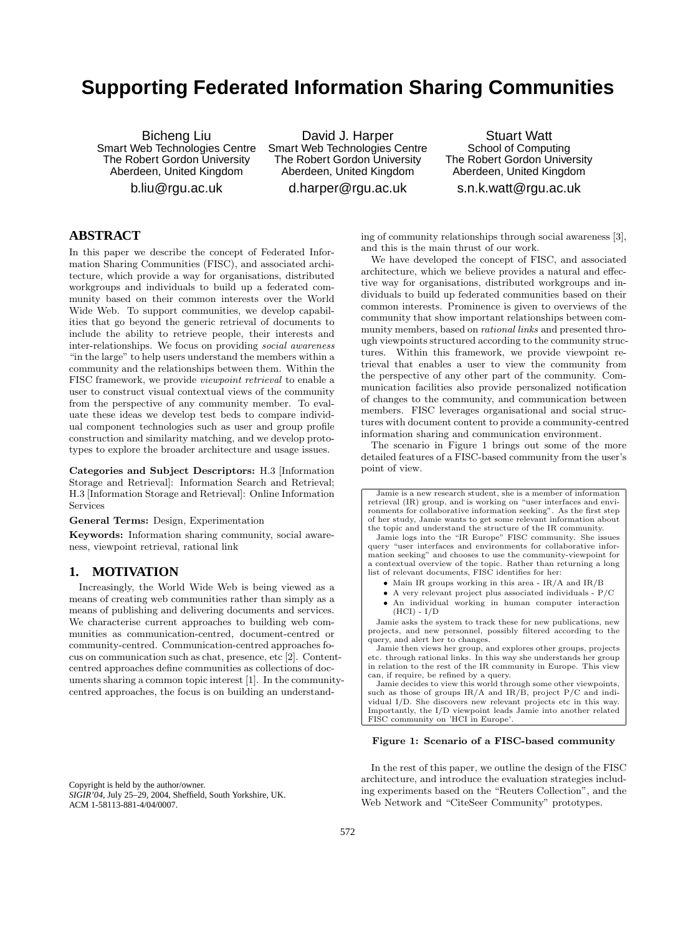# **Supporting Federated Information Sharing Communities**

Bicheng Liu Smart Web Technologies Centre The Robert Gordon University Aberdeen, United Kingdom b.liu@rgu.ac.uk

David J. Harper Smart Web Technologies Centre The Robert Gordon University Aberdeen, United Kingdom d.harper@rgu.ac.uk

Stuart Watt School of Computing The Robert Gordon University Aberdeen, United Kingdom s.n.k.watt@rgu.ac.uk

# **ABSTRACT**

In this paper we describe the concept of Federated Information Sharing Communities (FISC), and associated architecture, which provide a way for organisations, distributed workgroups and individuals to build up a federated community based on their common interests over the World Wide Web. To support communities, we develop capabilities that go beyond the generic retrieval of documents to include the ability to retrieve people, their interests and inter-relationships. We focus on providing social awareness "in the large" to help users understand the members within a community and the relationships between them. Within the FISC framework, we provide viewpoint retrieval to enable a user to construct visual contextual views of the community from the perspective of any community member. To evaluate these ideas we develop test beds to compare individual component technologies such as user and group profile construction and similarity matching, and we develop prototypes to explore the broader architecture and usage issues.

Categories and Subject Descriptors: H.3 [Information Storage and Retrieval]: Information Search and Retrieval; H.3 [Information Storage and Retrieval]: Online Information Services

General Terms: Design, Experimentation

Keywords: Information sharing community, social awareness, viewpoint retrieval, rational link

### **1. MOTIVATION**

Increasingly, the World Wide Web is being viewed as a means of creating web communities rather than simply as a means of publishing and delivering documents and services. We characterise current approaches to building web communities as communication-centred, document-centred or community-centred. Communication-centred approaches focus on communication such as chat, presence, etc [2]. Contentcentred approaches define communities as collections of documents sharing a common topic interest [1]. In the communitycentred approaches, the focus is on building an understand-

Copyright is held by the author/owner. *SIGIR'04,* July 25–29, 2004, Sheffield, South Yorkshire, UK. ACM 1-58113-881-4/04/0007.

ing of community relationships through social awareness [3], and this is the main thrust of our work.

We have developed the concept of FISC, and associated architecture, which we believe provides a natural and effective way for organisations, distributed workgroups and individuals to build up federated communities based on their common interests. Prominence is given to overviews of the community that show important relationships between community members, based on rational links and presented through viewpoints structured according to the community structures. Within this framework, we provide viewpoint retrieval that enables a user to view the community from the perspective of any other part of the community. Communication facilities also provide personalized notification of changes to the community, and communication between members. FISC leverages organisational and social structures with document content to provide a community-centred information sharing and communication environment.

The scenario in Figure 1 brings out some of the more detailed features of a FISC-based community from the user's point of view.

Jamie is a new research student, she is a member of information retrieval (IR) group, and is working on "user interfaces and environments for collaborative information seeking". As the first step of her study, Jamie wants to get some relevant information about the topic and understand the structure of the IR community.

Jamie logs into the "IR Europe" FISC community. She issues query "user interfaces and environments for collaborative information seeking" and chooses to use the community-viewpoint for a contextual overview of the topic. Rather than returning a long list of relevant documents, FISC identifies for her:

- Main IR groups working in this area IR/A and IR/B
- A very relevant project plus associated individuals P/C
- An individual working in human computer interaction  $(HCI) - I/D$

Jamie asks the system to track these for new publications, new projects, and new personnel, possibly filtered according to the query, and alert her to changes.

Jamie then views her group, and explores other groups, projects etc. through rational links. In this way she understands her group in relation to the rest of the IR community in Europe. This view can, if require, be refined by a query.

Jamie decides to view this world through some other viewpoints, such as those of groups  $IR/A$  and  $IR/B$ , project  $P/C$  and individual I/D. She discovers new relevant projects etc in this way. Importantly, the I/D viewpoint leads Jamie into another related FISC community on 'HCI in Europe'.

#### Figure 1: Scenario of a FISC-based community

In the rest of this paper, we outline the design of the FISC architecture, and introduce the evaluation strategies including experiments based on the "Reuters Collection", and the Web Network and "CiteSeer Community" prototypes.